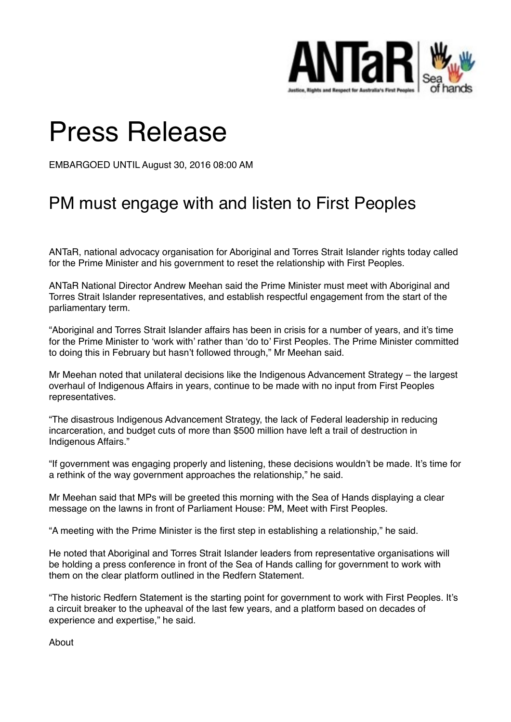

## Press Release

EMBARGOED UNTIL August 30, 2016 08:00 AM

## PM must engage with and listen to First Peoples

ANTaR, national advocacy organisation for Aboriginal and Torres Strait Islander rights today called for the Prime Minister and his government to reset the relationship with First Peoples.

ANTaR National Director Andrew Meehan said the Prime Minister must meet with Aboriginal and Torres Strait Islander representatives, and establish respectful engagement from the start of the parliamentary term.

"Aboriginal and Torres Strait Islander affairs has been in crisis for a number of years, and it's time for the Prime Minister to 'work with' rather than 'do to' First Peoples. The Prime Minister committed to doing this in February but hasn't followed through," Mr Meehan said.

Mr Meehan noted that unilateral decisions like the Indigenous Advancement Strategy – the largest overhaul of Indigenous Affairs in years, continue to be made with no input from First Peoples representatives.

"The disastrous Indigenous Advancement Strategy, the lack of Federal leadership in reducing incarceration, and budget cuts of more than \$500 million have left a trail of destruction in Indigenous Affairs."

"If government was engaging properly and listening, these decisions wouldn't be made. It's time for a rethink of the way government approaches the relationship," he said.

Mr Meehan said that MPs will be greeted this morning with the Sea of Hands displaying a clear message on the lawns in front of Parliament House: PM, Meet with First Peoples.

"A meeting with the Prime Minister is the first step in establishing a relationship," he said.

He noted that Aboriginal and Torres Strait Islander leaders from representative organisations will be holding a press conference in front of the Sea of Hands calling for government to work with them on the clear platform outlined in the Redfern Statement.

"The historic Redfern Statement is the starting point for government to work with First Peoples. It's a circuit breaker to the upheaval of the last few years, and a platform based on decades of experience and expertise," he said.

About